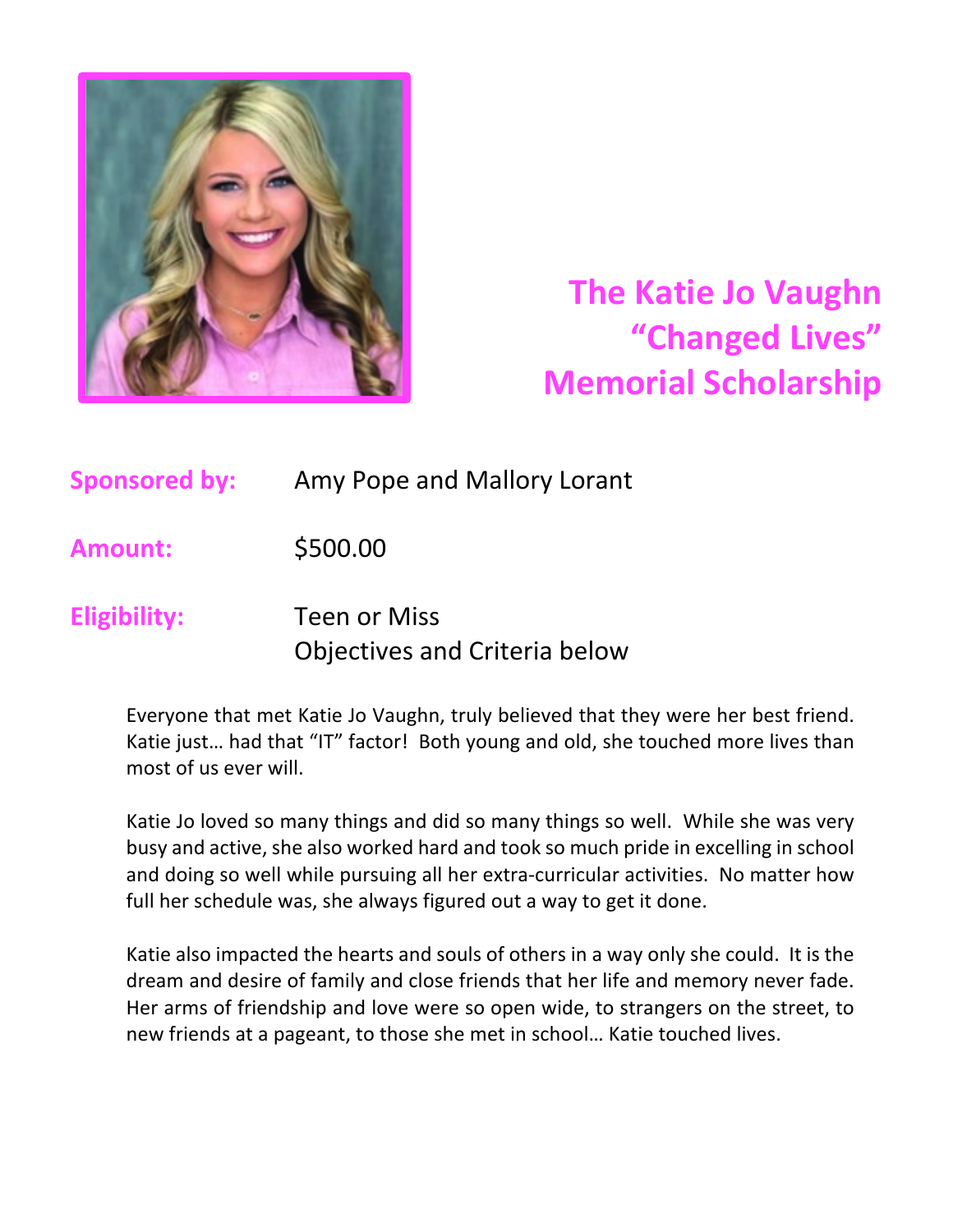

# **The Katie Jo Vaughn "Changed Lives" Memorial Scholarship**

**Sponsored by:** Amy Pope and Mallory Lorant

**Amount:** \$500.00

### **Eligibility:** Teen or Miss Objectives and Criteria below

Everyone that met Katie Jo Vaughn, truly believed that they were her best friend. Katie just… had that "IT" factor! Both young and old, she touched more lives than most of us ever will.

Katie Jo loved so many things and did so many things so well. While she was very busy and active, she also worked hard and took so much pride in excelling in school and doing so well while pursuing all her extra-curricular activities. No matter how full her schedule was, she always figured out a way to get it done.

Katie also impacted the hearts and souls of others in a way only she could. It is the dream and desire of family and close friends that her life and memory never fade. Her arms of friendship and love were so open wide, to strangers on the street, to new friends at a pageant, to those she met in school… Katie touched lives.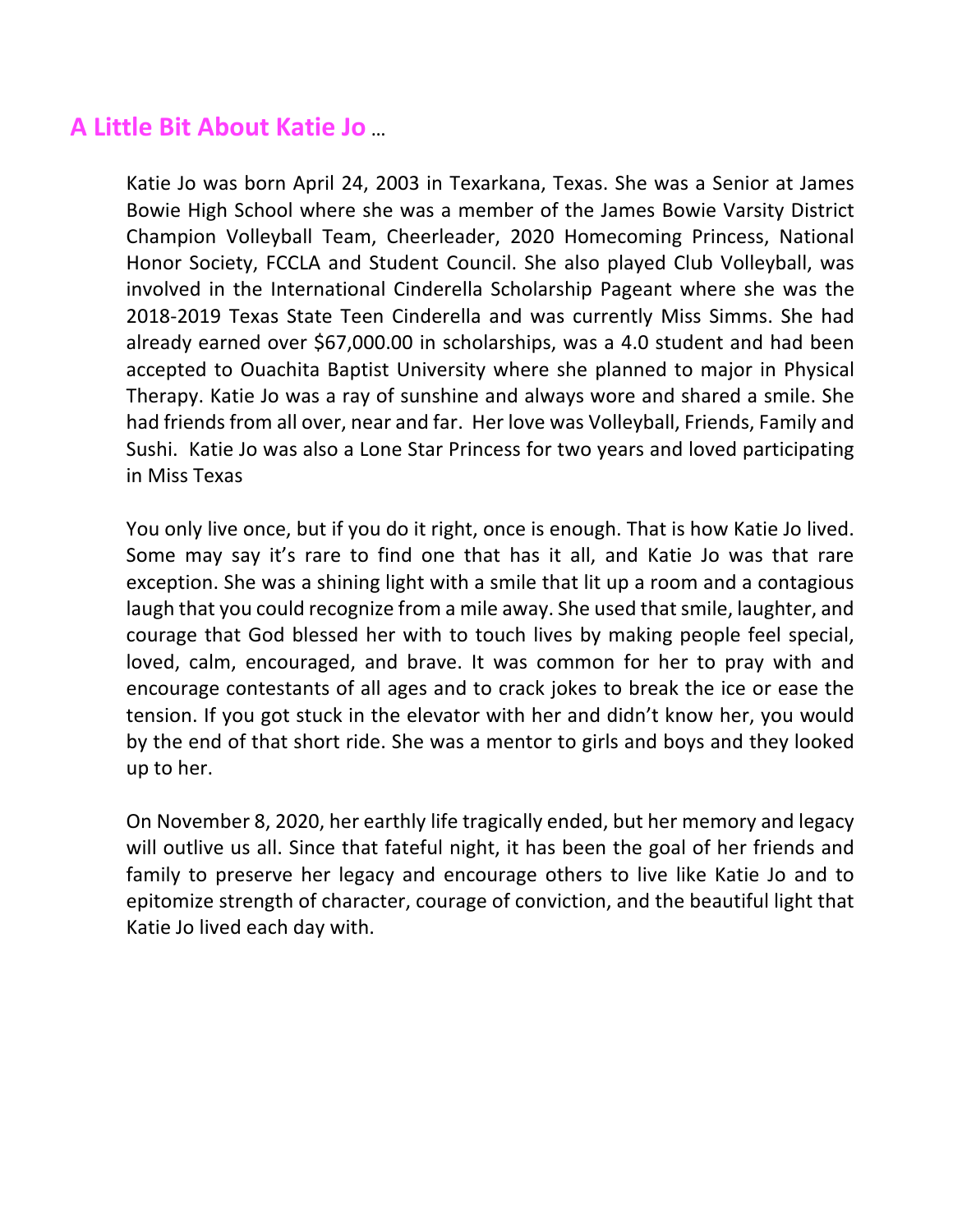#### **A Little Bit About Katie Jo** …

Katie Jo was born April 24, 2003 in Texarkana, Texas. She was a Senior at James Bowie High School where she was a member of the James Bowie Varsity District Champion Volleyball Team, Cheerleader, 2020 Homecoming Princess, National Honor Society, FCCLA and Student Council. She also played Club Volleyball, was involved in the International Cinderella Scholarship Pageant where she was the 2018-2019 Texas State Teen Cinderella and was currently Miss Simms. She had already earned over \$67,000.00 in scholarships, was a 4.0 student and had been accepted to Ouachita Baptist University where she planned to major in Physical Therapy. Katie Jo was a ray of sunshine and always wore and shared a smile. She had friends from all over, near and far. Her love was Volleyball, Friends, Family and Sushi. Katie Jo was also a Lone Star Princess for two years and loved participating in Miss Texas

You only live once, but if you do it right, once is enough. That is how Katie Jo lived. Some may say it's rare to find one that has it all, and Katie Jo was that rare exception. She was a shining light with a smile that lit up a room and a contagious laugh that you could recognize from a mile away. She used that smile, laughter, and courage that God blessed her with to touch lives by making people feel special, loved, calm, encouraged, and brave. It was common for her to pray with and encourage contestants of all ages and to crack jokes to break the ice or ease the tension. If you got stuck in the elevator with her and didn't know her, you would by the end of that short ride. She was a mentor to girls and boys and they looked up to her.

On November 8, 2020, her earthly life tragically ended, but her memory and legacy will outlive us all. Since that fateful night, it has been the goal of her friends and family to preserve her legacy and encourage others to live like Katie Jo and to epitomize strength of character, courage of conviction, and the beautiful light that Katie Jo lived each day with.